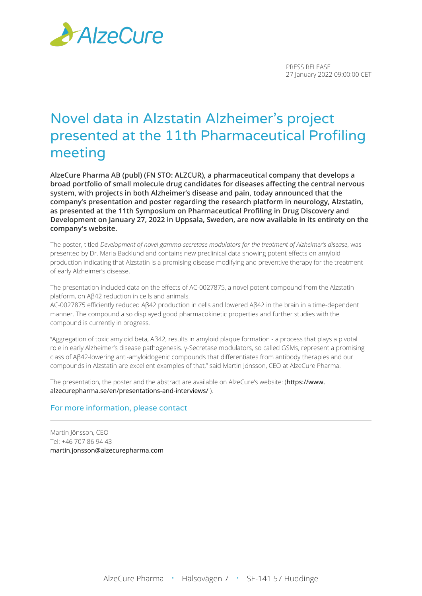

PRESS RELEASE 27 January 2022 09:00:00 CET

# Novel data in Alzstatin Alzheimer's project presented at the 11th Pharmaceutical Profiling meeting

**AlzeCure Pharma AB (publ) (FN STO: ALZCUR), a pharmaceutical company that develops a broad portfolio of small molecule drug candidates for diseases affecting the central nervous system, with projects in both Alzheimer's disease and pain, today announced that the company's presentation and poster regarding the research platform in neurology, Alzstatin, as presented at the 11th Symposium on Pharmaceutical Profiling in Drug Discovery and Development on January 27, 2022 in Uppsala, Sweden, are now available in its entirety on the company's website.**

The poster, titled *Development of novel gamma-secretase modulators for the treatment of Alzheimer's disease*, was presented by Dr. Maria Backlund and contains new preclinical data showing potent effects on amyloid production indicating that Alzstatin is a promising disease modifying and preventive therapy for the treatment of early Alzheimer's disease.

The presentation included data on the effects of AC-0027875, a novel potent compound from the Alzstatin platform, on Aβ42 reduction in cells and animals.

AC-0027875 efficiently reduced Aβ42 production in cells and lowered Aβ42 in the brain in a time-dependent manner. The compound also displayed good pharmacokinetic properties and further studies with the compound is currently in progress.

"Aggregation of toxic amyloid beta, Aβ42, results in amyloid plaque formation - a process that plays a pivotal role in early Alzheimer's disease pathogenesis. γ-Secretase modulators, so called GSMs, represent a promising class of Aβ42-lowering anti-amyloidogenic compounds that differentiates from antibody therapies and our compounds in Alzstatin are excellent examples of that," said Martin Jönsson, CEO at AlzeCure Pharma.

The presentation, the poster and the abstract are available on AlzeCure's website: ([https://www.](https://www.alzecurepharma.se/en/presentations-and-interviews/) [alzecurepharma.se/en/presentations-and-interviews/](https://www.alzecurepharma.se/en/presentations-and-interviews/) ).

## For more information, please contact

Martin Jönsson, CEO Tel: +46 707 86 94 43 [martin.jonsson@alzecurepharma.com](mailto:martin.jonsson@alzecurepharma.com)